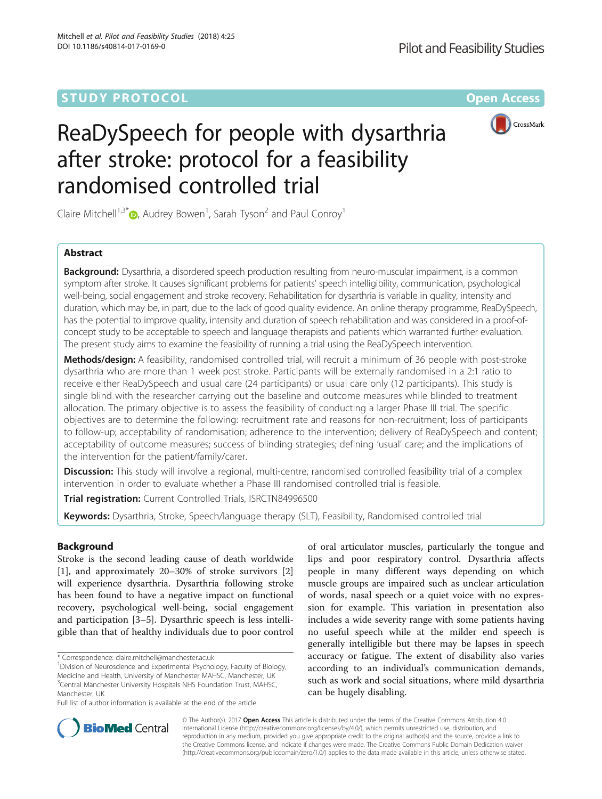# **STUDY PROTOCOL CONSUMING THE RESERVE ACCESS**



# ReaDySpeech for people with dysarthria after stroke: protocol for a feasibility randomised controlled trial

Claire Mitchell<sup>1,3\*</sup> , Audrey Bowen<sup>1</sup>, Sarah Tyson<sup>2</sup> and Paul Conroy<sup>1</sup>

# Abstract

**Background:** Dysarthria, a disordered speech production resulting from neuro-muscular impairment, is a common symptom after stroke. It causes significant problems for patients' speech intelligibility, communication, psychological well-being, social engagement and stroke recovery. Rehabilitation for dysarthria is variable in quality, intensity and duration, which may be, in part, due to the lack of good quality evidence. An online therapy programme, ReaDySpeech, has the potential to improve quality, intensity and duration of speech rehabilitation and was considered in a proof-ofconcept study to be acceptable to speech and language therapists and patients which warranted further evaluation. The present study aims to examine the feasibility of running a trial using the ReaDySpeech intervention.

Methods/design: A feasibility, randomised controlled trial, will recruit a minimum of 36 people with post-stroke dysarthria who are more than 1 week post stroke. Participants will be externally randomised in a 2:1 ratio to receive either ReaDySpeech and usual care (24 participants) or usual care only (12 participants). This study is single blind with the researcher carrying out the baseline and outcome measures while blinded to treatment allocation. The primary objective is to assess the feasibility of conducting a larger Phase III trial. The specific objectives are to determine the following: recruitment rate and reasons for non-recruitment; loss of participants to follow-up; acceptability of randomisation; adherence to the intervention; delivery of ReaDySpeech and content; acceptability of outcome measures; success of blinding strategies; defining 'usual' care; and the implications of the intervention for the patient/family/carer.

Discussion: This study will involve a regional, multi-centre, randomised controlled feasibility trial of a complex intervention in order to evaluate whether a Phase III randomised controlled trial is feasible.

Trial registration: Current Controlled Trials, [ISRCTN84996500](http://www.isrctn.com/ISRCTN84996500)

Keywords: Dysarthria, Stroke, Speech/language therapy (SLT), Feasibility, Randomised controlled trial

# Background

Stroke is the second leading cause of death worldwide [[1\]](#page-5-0), and approximately 20–30% of stroke survivors [\[2](#page-5-0)] will experience dysarthria. Dysarthria following stroke has been found to have a negative impact on functional recovery, psychological well-being, social engagement and participation [[3](#page-5-0)–[5\]](#page-5-0). Dysarthric speech is less intelligible than that of healthy individuals due to poor control

\* Correspondence: [claire.mitchell@manchester.ac.uk](mailto:claire.mitchell@manchester.ac.uk) <sup>1</sup>

Full list of author information is available at the end of the article

of oral articulator muscles, particularly the tongue and lips and poor respiratory control. Dysarthria affects people in many different ways depending on which muscle groups are impaired such as unclear articulation of words, nasal speech or a quiet voice with no expression for example. This variation in presentation also includes a wide severity range with some patients having no useful speech while at the milder end speech is generally intelligible but there may be lapses in speech accuracy or fatigue. The extent of disability also varies according to an individual's communication demands, such as work and social situations, where mild dysarthria can be hugely disabling.



© The Author(s). 2017 **Open Access** This article is distributed under the terms of the Creative Commons Attribution 4.0 International License [\(http://creativecommons.org/licenses/by/4.0/](http://creativecommons.org/licenses/by/4.0/)), which permits unrestricted use, distribution, and reproduction in any medium, provided you give appropriate credit to the original author(s) and the source, provide a link to the Creative Commons license, and indicate if changes were made. The Creative Commons Public Domain Dedication waiver [\(http://creativecommons.org/publicdomain/zero/1.0/](http://creativecommons.org/publicdomain/zero/1.0/)) applies to the data made available in this article, unless otherwise stated.

<sup>&</sup>lt;sup>1</sup>Division of Neuroscience and Experimental Psychology, Faculty of Biology, Medicine and Health, University of Manchester MAHSC, Manchester, UK <sup>3</sup>Central Manchester University Hospitals NHS Foundation Trust, MAHSC, Manchester, UK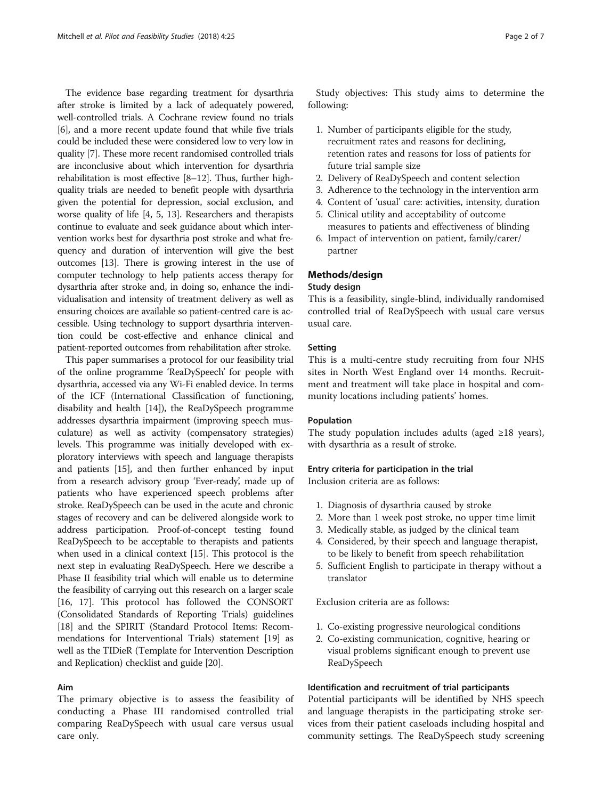The evidence base regarding treatment for dysarthria after stroke is limited by a lack of adequately powered, well-controlled trials. A Cochrane review found no trials [[6](#page-5-0)], and a more recent update found that while five trials could be included these were considered low to very low in quality [\[7\]](#page-5-0). These more recent randomised controlled trials are inconclusive about which intervention for dysarthria rehabilitation is most effective [\[8](#page-5-0)–[12](#page-5-0)]. Thus, further highquality trials are needed to benefit people with dysarthria given the potential for depression, social exclusion, and worse quality of life [\[4, 5](#page-5-0), [13\]](#page-6-0). Researchers and therapists continue to evaluate and seek guidance about which intervention works best for dysarthria post stroke and what frequency and duration of intervention will give the best outcomes [\[13\]](#page-6-0). There is growing interest in the use of computer technology to help patients access therapy for dysarthria after stroke and, in doing so, enhance the individualisation and intensity of treatment delivery as well as ensuring choices are available so patient-centred care is accessible. Using technology to support dysarthria intervention could be cost-effective and enhance clinical and patient-reported outcomes from rehabilitation after stroke.

This paper summarises a protocol for our feasibility trial of the online programme 'ReaDySpeech' for people with dysarthria, accessed via any Wi-Fi enabled device. In terms of the ICF (International Classification of functioning, disability and health [[14](#page-6-0)]), the ReaDySpeech programme addresses dysarthria impairment (improving speech musculature) as well as activity (compensatory strategies) levels. This programme was initially developed with exploratory interviews with speech and language therapists and patients [\[15\]](#page-6-0), and then further enhanced by input from a research advisory group 'Ever-ready', made up of patients who have experienced speech problems after stroke. ReaDySpeech can be used in the acute and chronic stages of recovery and can be delivered alongside work to address participation. Proof-of-concept testing found ReaDySpeech to be acceptable to therapists and patients when used in a clinical context [\[15\]](#page-6-0). This protocol is the next step in evaluating ReaDySpeech. Here we describe a Phase II feasibility trial which will enable us to determine the feasibility of carrying out this research on a larger scale [[16](#page-6-0), [17\]](#page-6-0). This protocol has followed the CONSORT (Consolidated Standards of Reporting Trials) guidelines [[18](#page-6-0)] and the SPIRIT (Standard Protocol Items: Recommendations for Interventional Trials) statement [[19](#page-6-0)] as well as the TIDieR (Template for Intervention Description and Replication) checklist and guide [\[20\]](#page-6-0).

# Aim

The primary objective is to assess the feasibility of conducting a Phase III randomised controlled trial comparing ReaDySpeech with usual care versus usual care only.

Study objectives: This study aims to determine the following:

- 1. Number of participants eligible for the study, recruitment rates and reasons for declining, retention rates and reasons for loss of patients for future trial sample size
- 2. Delivery of ReaDySpeech and content selection
- 3. Adherence to the technology in the intervention arm
- 4. Content of 'usual' care: activities, intensity, duration
- 5. Clinical utility and acceptability of outcome measures to patients and effectiveness of blinding
- 6. Impact of intervention on patient, family/carer/ partner

# Methods/design

### Study design

This is a feasibility, single-blind, individually randomised controlled trial of ReaDySpeech with usual care versus usual care.

# Setting

This is a multi-centre study recruiting from four NHS sites in North West England over 14 months. Recruitment and treatment will take place in hospital and community locations including patients' homes.

## Population

The study population includes adults (aged  $\geq$ 18 years), with dysarthria as a result of stroke.

# Entry criteria for participation in the trial

Inclusion criteria are as follows:

- 1. Diagnosis of dysarthria caused by stroke
- 2. More than 1 week post stroke, no upper time limit
- 3. Medically stable, as judged by the clinical team
- 4. Considered, by their speech and language therapist, to be likely to benefit from speech rehabilitation
- 5. Sufficient English to participate in therapy without a translator

Exclusion criteria are as follows:

- 1. Co-existing progressive neurological conditions
- 2. Co-existing communication, cognitive, hearing or visual problems significant enough to prevent use ReaDySpeech

# Identification and recruitment of trial participants

Potential participants will be identified by NHS speech and language therapists in the participating stroke services from their patient caseloads including hospital and community settings. The ReaDySpeech study screening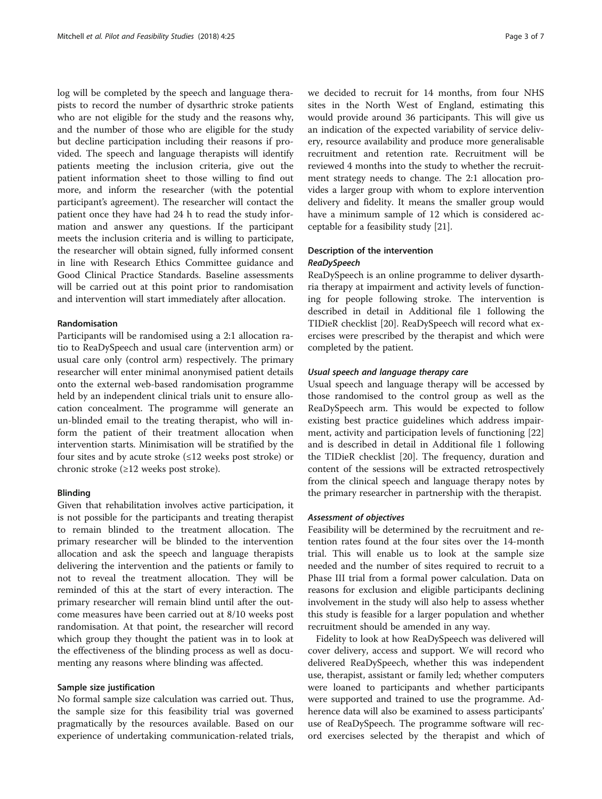log will be completed by the speech and language therapists to record the number of dysarthric stroke patients who are not eligible for the study and the reasons why, and the number of those who are eligible for the study but decline participation including their reasons if provided. The speech and language therapists will identify patients meeting the inclusion criteria, give out the patient information sheet to those willing to find out more, and inform the researcher (with the potential participant's agreement). The researcher will contact the patient once they have had 24 h to read the study information and answer any questions. If the participant meets the inclusion criteria and is willing to participate, the researcher will obtain signed, fully informed consent in line with Research Ethics Committee guidance and Good Clinical Practice Standards. Baseline assessments will be carried out at this point prior to randomisation and intervention will start immediately after allocation.

#### Randomisation

Participants will be randomised using a 2:1 allocation ratio to ReaDySpeech and usual care (intervention arm) or usual care only (control arm) respectively. The primary researcher will enter minimal anonymised patient details onto the external web-based randomisation programme held by an independent clinical trials unit to ensure allocation concealment. The programme will generate an un-blinded email to the treating therapist, who will inform the patient of their treatment allocation when intervention starts. Minimisation will be stratified by the four sites and by acute stroke  $(\leq 12$  weeks post stroke) or chronic stroke (≥12 weeks post stroke).

#### Blinding

Given that rehabilitation involves active participation, it is not possible for the participants and treating therapist to remain blinded to the treatment allocation. The primary researcher will be blinded to the intervention allocation and ask the speech and language therapists delivering the intervention and the patients or family to not to reveal the treatment allocation. They will be reminded of this at the start of every interaction. The primary researcher will remain blind until after the outcome measures have been carried out at 8/10 weeks post randomisation. At that point, the researcher will record which group they thought the patient was in to look at the effectiveness of the blinding process as well as documenting any reasons where blinding was affected.

# Sample size justification

No formal sample size calculation was carried out. Thus, the sample size for this feasibility trial was governed pragmatically by the resources available. Based on our experience of undertaking communication-related trials, we decided to recruit for 14 months, from four NHS sites in the North West of England, estimating this would provide around 36 participants. This will give us an indication of the expected variability of service delivery, resource availability and produce more generalisable recruitment and retention rate. Recruitment will be reviewed 4 months into the study to whether the recruitment strategy needs to change. The 2:1 allocation provides a larger group with whom to explore intervention delivery and fidelity. It means the smaller group would have a minimum sample of 12 which is considered acceptable for a feasibility study [[21](#page-6-0)].

# Description of the intervention **ReaDySpeech**

ReaDySpeech is an online programme to deliver dysarthria therapy at impairment and activity levels of functioning for people following stroke. The intervention is described in detail in Additional file [1](#page-5-0) following the TIDieR checklist [[20](#page-6-0)]. ReaDySpeech will record what exercises were prescribed by the therapist and which were completed by the patient.

#### Usual speech and language therapy care

Usual speech and language therapy will be accessed by those randomised to the control group as well as the ReaDySpeech arm. This would be expected to follow existing best practice guidelines which address impairment, activity and participation levels of functioning [[22](#page-6-0)] and is described in detail in Additional file [1](#page-5-0) following the TIDieR checklist [\[20](#page-6-0)]. The frequency, duration and content of the sessions will be extracted retrospectively from the clinical speech and language therapy notes by the primary researcher in partnership with the therapist.

# Assessment of objectives

Feasibility will be determined by the recruitment and retention rates found at the four sites over the 14-month trial. This will enable us to look at the sample size needed and the number of sites required to recruit to a Phase III trial from a formal power calculation. Data on reasons for exclusion and eligible participants declining involvement in the study will also help to assess whether this study is feasible for a larger population and whether recruitment should be amended in any way.

Fidelity to look at how ReaDySpeech was delivered will cover delivery, access and support. We will record who delivered ReaDySpeech, whether this was independent use, therapist, assistant or family led; whether computers were loaned to participants and whether participants were supported and trained to use the programme. Adherence data will also be examined to assess participants' use of ReaDySpeech. The programme software will record exercises selected by the therapist and which of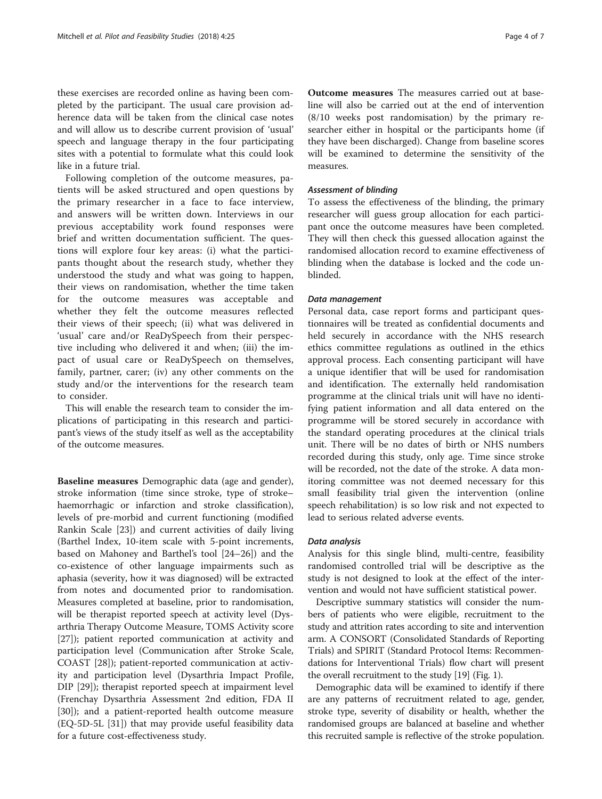these exercises are recorded online as having been completed by the participant. The usual care provision adherence data will be taken from the clinical case notes and will allow us to describe current provision of 'usual' speech and language therapy in the four participating sites with a potential to formulate what this could look like in a future trial.

Following completion of the outcome measures, patients will be asked structured and open questions by the primary researcher in a face to face interview, and answers will be written down. Interviews in our previous acceptability work found responses were brief and written documentation sufficient. The questions will explore four key areas: (i) what the participants thought about the research study, whether they understood the study and what was going to happen, their views on randomisation, whether the time taken for the outcome measures was acceptable and whether they felt the outcome measures reflected their views of their speech; (ii) what was delivered in 'usual' care and/or ReaDySpeech from their perspective including who delivered it and when; (iii) the impact of usual care or ReaDySpeech on themselves, family, partner, carer; (iv) any other comments on the study and/or the interventions for the research team to consider.

This will enable the research team to consider the implications of participating in this research and participant's views of the study itself as well as the acceptability of the outcome measures.

Baseline measures Demographic data (age and gender), stroke information (time since stroke, type of stroke– haemorrhagic or infarction and stroke classification), levels of pre-morbid and current functioning (modified Rankin Scale [\[23](#page-6-0)]) and current activities of daily living (Barthel Index, 10-item scale with 5-point increments, based on Mahoney and Barthel's tool [\[24](#page-6-0)–[26\]](#page-6-0)) and the co-existence of other language impairments such as aphasia (severity, how it was diagnosed) will be extracted from notes and documented prior to randomisation. Measures completed at baseline, prior to randomisation, will be therapist reported speech at activity level (Dysarthria Therapy Outcome Measure, TOMS Activity score [[27\]](#page-6-0)); patient reported communication at activity and participation level (Communication after Stroke Scale, COAST [\[28](#page-6-0)]); patient-reported communication at activity and participation level (Dysarthria Impact Profile, DIP [\[29](#page-6-0)]); therapist reported speech at impairment level (Frenchay Dysarthria Assessment 2nd edition, FDA II [[30\]](#page-6-0)); and a patient-reported health outcome measure (EQ-5D-5L [\[31](#page-6-0)]) that may provide useful feasibility data for a future cost-effectiveness study.

Outcome measures The measures carried out at baseline will also be carried out at the end of intervention (8/10 weeks post randomisation) by the primary researcher either in hospital or the participants home (if they have been discharged). Change from baseline scores will be examined to determine the sensitivity of the measures.

## Assessment of blinding

To assess the effectiveness of the blinding, the primary researcher will guess group allocation for each participant once the outcome measures have been completed. They will then check this guessed allocation against the randomised allocation record to examine effectiveness of blinding when the database is locked and the code unblinded.

## Data management

Personal data, case report forms and participant questionnaires will be treated as confidential documents and held securely in accordance with the NHS research ethics committee regulations as outlined in the ethics approval process. Each consenting participant will have a unique identifier that will be used for randomisation and identification. The externally held randomisation programme at the clinical trials unit will have no identifying patient information and all data entered on the programme will be stored securely in accordance with the standard operating procedures at the clinical trials unit. There will be no dates of birth or NHS numbers recorded during this study, only age. Time since stroke will be recorded, not the date of the stroke. A data monitoring committee was not deemed necessary for this small feasibility trial given the intervention (online speech rehabilitation) is so low risk and not expected to lead to serious related adverse events.

#### Data analysis

Analysis for this single blind, multi-centre, feasibility randomised controlled trial will be descriptive as the study is not designed to look at the effect of the intervention and would not have sufficient statistical power.

Descriptive summary statistics will consider the numbers of patients who were eligible, recruitment to the study and attrition rates according to site and intervention arm. A CONSORT (Consolidated Standards of Reporting Trials) and SPIRIT (Standard Protocol Items: Recommendations for Interventional Trials) flow chart will present the overall recruitment to the study [\[19](#page-6-0)] (Fig. [1\)](#page-4-0).

Demographic data will be examined to identify if there are any patterns of recruitment related to age, gender, stroke type, severity of disability or health, whether the randomised groups are balanced at baseline and whether this recruited sample is reflective of the stroke population.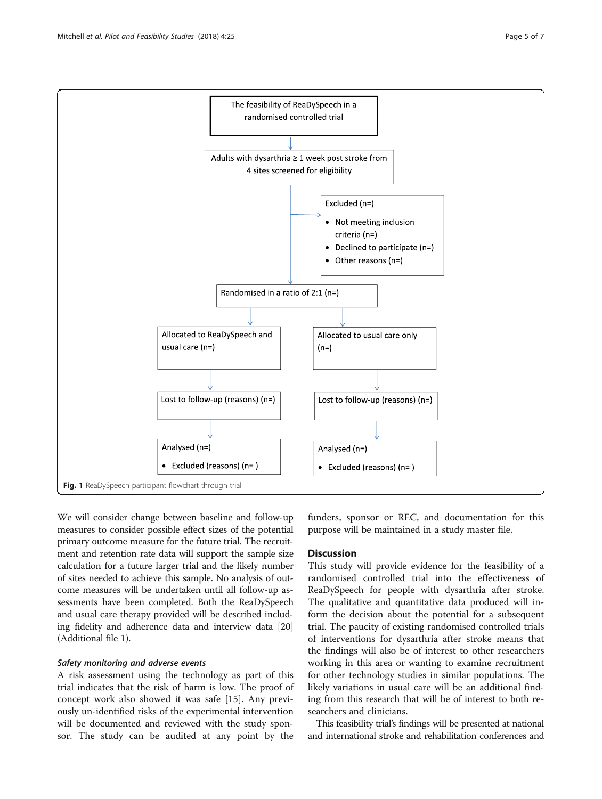<span id="page-4-0"></span>

We will consider change between baseline and follow-up measures to consider possible effect sizes of the potential primary outcome measure for the future trial. The recruitment and retention rate data will support the sample size calculation for a future larger trial and the likely number of sites needed to achieve this sample. No analysis of outcome measures will be undertaken until all follow-up assessments have been completed. Both the ReaDySpeech and usual care therapy provided will be described including fidelity and adherence data and interview data [[20](#page-6-0)] (Additional file [1](#page-5-0)).

# Safety monitoring and adverse events

A risk assessment using the technology as part of this trial indicates that the risk of harm is low. The proof of concept work also showed it was safe [[15\]](#page-6-0). Any previously un-identified risks of the experimental intervention will be documented and reviewed with the study sponsor. The study can be audited at any point by the

funders, sponsor or REC, and documentation for this purpose will be maintained in a study master file.

# **Discussion**

This study will provide evidence for the feasibility of a randomised controlled trial into the effectiveness of ReaDySpeech for people with dysarthria after stroke. The qualitative and quantitative data produced will inform the decision about the potential for a subsequent trial. The paucity of existing randomised controlled trials of interventions for dysarthria after stroke means that the findings will also be of interest to other researchers working in this area or wanting to examine recruitment for other technology studies in similar populations. The likely variations in usual care will be an additional finding from this research that will be of interest to both researchers and clinicians.

This feasibility trial's findings will be presented at national and international stroke and rehabilitation conferences and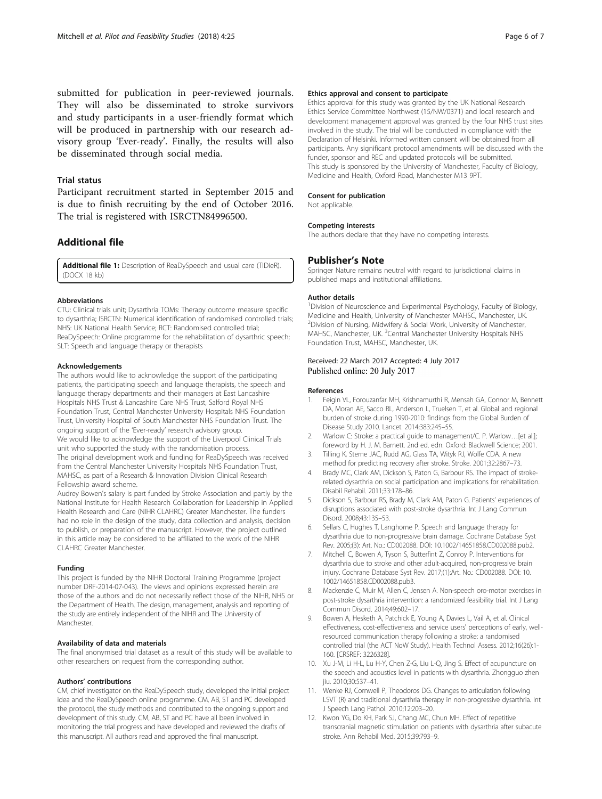<span id="page-5-0"></span>submitted for publication in peer-reviewed journals. They will also be disseminated to stroke survivors and study participants in a user-friendly format which will be produced in partnership with our research advisory group 'Ever-ready'. Finally, the results will also be disseminated through social media.

# Trial status

Participant recruitment started in September 2015 and is due to finish recruiting by the end of October 2016. The trial is registered with ISRCTN84996500.

# Additional file

[Additional file 1:](dx.doi.org/10.1186/s40814-017-0169-0) Description of ReaDySpeech and usual care (TIDieR). (DOCX 18 kb)

#### Abbreviations

CTU: Clinical trials unit; Dysarthria TOMs: Therapy outcome measure specific to dysarthria; ISRCTN: Numerical identification of randomised controlled trials; NHS: UK National Health Service; RCT: Randomised controlled trial; ReaDySpeech: Online programme for the rehabilitation of dysarthric speech; SLT: Speech and language therapy or therapists

#### Acknowledgements

The authors would like to acknowledge the support of the participating patients, the participating speech and language therapists, the speech and language therapy departments and their managers at East Lancashire Hospitals NHS Trust & Lancashire Care NHS Trust, Salford Royal NHS Foundation Trust, Central Manchester University Hospitals NHS Foundation Trust, University Hospital of South Manchester NHS Foundation Trust. The ongoing support of the 'Ever-ready' research advisory group. We would like to acknowledge the support of the Liverpool Clinical Trials unit who supported the study with the randomisation process. The original development work and funding for ReaDySpeech was received from the Central Manchester University Hospitals NHS Foundation Trust, MAHSC, as part of a Research & Innovation Division Clinical Research Fellowship award scheme.

Audrey Bowen's salary is part funded by Stroke Association and partly by the National Institute for Health Research Collaboration for Leadership in Applied Health Research and Care (NIHR CLAHRC) Greater Manchester. The funders had no role in the design of the study, data collection and analysis, decision to publish, or preparation of the manuscript. However, the project outlined in this article may be considered to be affiliated to the work of the NIHR CLAHRC Greater Manchester.

#### Funding

This project is funded by the NIHR Doctoral Training Programme (project number DRF-2014-07-043). The views and opinions expressed herein are those of the authors and do not necessarily reflect those of the NIHR, NHS or the Department of Health. The design, management, analysis and reporting of the study are entirely independent of the NIHR and The University of Manchester.

#### Availability of data and materials

The final anonymised trial dataset as a result of this study will be available to other researchers on request from the corresponding author.

#### Authors' contributions

CM, chief investigator on the ReaDySpeech study, developed the initial project idea and the ReaDySpeech online programme. CM, AB, ST and PC developed the protocol, the study methods and contributed to the ongoing support and development of this study. CM, AB, ST and PC have all been involved in monitoring the trial progress and have developed and reviewed the drafts of this manuscript. All authors read and approved the final manuscript.

#### Ethics approval and consent to participate

Ethics approval for this study was granted by the UK National Research Ethics Service Committee Northwest (15/NW/0371) and local research and development management approval was granted by the four NHS trust sites involved in the study. The trial will be conducted in compliance with the Declaration of Helsinki. Informed written consent will be obtained from all participants. Any significant protocol amendments will be discussed with the funder, sponsor and REC and updated protocols will be submitted. This study is sponsored by the University of Manchester, Faculty of Biology, Medicine and Health, Oxford Road, Manchester M13 9PT.

#### Consent for publication

Not applicable.

#### Competing interests

The authors declare that they have no competing interests.

## Publisher's Note

Springer Nature remains neutral with regard to jurisdictional claims in published maps and institutional affiliations.

#### Author details

<sup>1</sup> Division of Neuroscience and Experimental Psychology, Faculty of Biology, Medicine and Health, University of Manchester MAHSC, Manchester, UK. <sup>2</sup> Division of Nursing, Midwifery & Social Work, University of Manchester, MAHSC, Manchester, UK. <sup>3</sup>Central Manchester University Hospitals NHS Foundation Trust, MAHSC, Manchester, UK.

### Received: 22 March 2017 Accepted: 4 July 2017 Published online: 20 July 2017

#### References

- 1. Feigin VL, Forouzanfar MH, Krishnamurthi R, Mensah GA, Connor M, Bennett DA, Moran AE, Sacco RL, Anderson L, Truelsen T, et al. Global and regional burden of stroke during 1990-2010: findings from the Global Burden of Disease Study 2010. Lancet. 2014;383:245–55.
- 2. Warlow C: Stroke: a practical guide to management/C. P. Warlow…[et al.]; foreword by H. J. M. Barnett. 2nd ed. edn. Oxford: Blackwell Science; 2001.
- 3. Tilling K, Sterne JAC, Rudd AG, Glass TA, Wityk RJ, Wolfe CDA. A new method for predicting recovery after stroke. Stroke. 2001;32:2867–73.
- 4. Brady MC, Clark AM, Dickson S, Paton G, Barbour RS. The impact of strokerelated dysarthria on social participation and implications for rehabilitation. Disabil Rehabil. 2011;33:178–86.
- 5. Dickson S, Barbour RS, Brady M, Clark AM, Paton G. Patients' experiences of disruptions associated with post-stroke dysarthria. Int J Lang Commun Disord. 2008;43:135–53.
- Sellars C, Hughes T, Langhorne P. Speech and language therapy for dysarthria due to non-progressive brain damage. Cochrane Database Syst Rev. 2005;(3): Art. No.: CD002088. DOI: [10.1002/14651858.CD002088.pub2](http://dx.doi.org/10.1002/14651858.CD002088.pub2).
- 7. Mitchell C, Bowen A, Tyson S, Butterfint Z, Conroy P. Interventions for dysarthria due to stroke and other adult-acquired, non-progressive brain injury. Cochrane Database Syst Rev. 2017;(1):Art. No.: CD002088. DOI: [10.](http://dx.doi.org/10.1002/14651858.CD002088.pub3) [1002/14651858.CD002088.pub3](http://dx.doi.org/10.1002/14651858.CD002088.pub3).
- 8. Mackenzie C, Muir M, Allen C, Jensen A. Non-speech oro-motor exercises in post-stroke dysarthria intervention: a randomized feasibility trial. Int J Lang Commun Disord. 2014;49:602–17.
- 9. Bowen A, Hesketh A, Patchick E, Young A, Davies L, Vail A, et al. Clinical effectiveness, cost-effectiveness and service users' perceptions of early, wellresourced communication therapy following a stroke: a randomised controlled trial (the ACT NoW Study). Health Technol Assess. 2012;16(26):1- 160. [CRSREF: 3226328].
- 10. Xu J-M, Li H-L, Lu H-Y, Chen Z-G, Liu L-Q, Jing S. Effect of acupuncture on the speech and acoustics level in patients with dysarthria. Zhongguo zhen jiu. 2010;30:537–41.
- 11. Wenke RJ, Cornwell P, Theodoros DG. Changes to articulation following LSVT (R) and traditional dysarthria therapy in non-progressive dysarthria. Int J Speech Lang Pathol. 2010;12:203–20.
- 12. Kwon YG, Do KH, Park SJ, Chang MC, Chun MH. Effect of repetitive transcranial magnetic stimulation on patients with dysarthria after subacute stroke. Ann Rehabil Med. 2015;39:793–9.